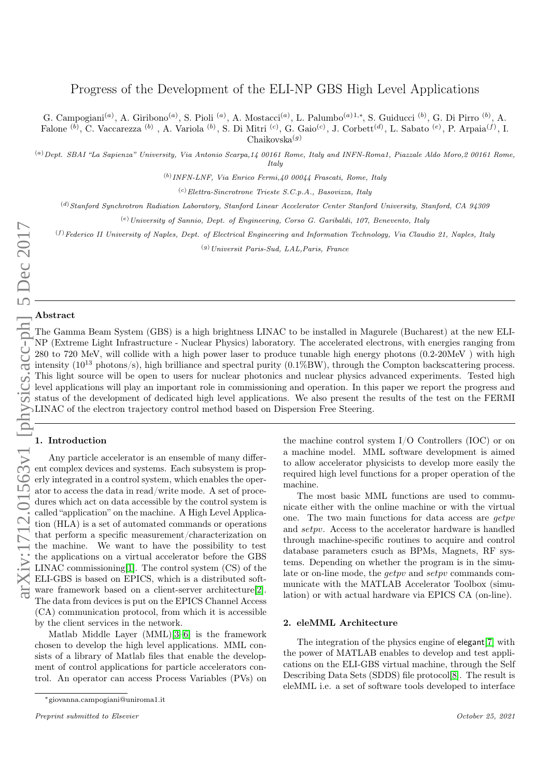# Progress of the Development of the ELI-NP GBS High Level Applications

G. Campogiani<sup>(a)</sup>, A. Giribono<sup>(a)</sup>, S. Pioli<sup>(a)</sup>, A. Mostacci<sup>(a)</sup>, L. Palumbo<sup>(a)1,\*</sup>, S. Guiducci<sup>(b)</sup>, G. Di Pirro<sup>(b)</sup>, A. Falone  $^{(b)}$ , C. Vaccarezza  $^{(b)}$ , A. Variola  $^{(b)}$ , S. Di Mitri  $^{(c)}$ , G. Gaio $^{(c)}$ , J. Corbett $^{(d)}$ , L. Sabato  $^{(e)}$ , P. Arpaia $^{(f)}$ , I.  $Chaikovska<sup>(g)</sup>$ 

(a)Dept. SBAI "La Sapienza" University, Via Antonio Scarpa,14 00161 Rome, Italy and INFN-Roma1, Piazzale Aldo Moro,2 00161 Rome, **Italy** 

 $^{(b)}$  INFN-LNF, Via Enrico Fermi, 40 00044 Frascati, Rome, Italy

 $(c)$ Elettra-Sincrotrone Trieste S.C.p.A., Basovizza, Italy

(d) Stanford Synchrotron Radiation Laboratory, Stanford Linear Accelerator Center Stanford University, Stanford, CA 94309

 $^{(e)}$ University of Sannio, Dept. of Engineering, Corso G. Garibaldi, 107, Benevento, Italy

 $(f)$ Federico II University of Naples, Dept. of Electrical Engineering and Information Technology, Via Claudio 21, Naples, Italy

 $(9)$  Universit Paris-Sud, LAL, Paris, France

### Abstract

The Gamma Beam System (GBS) is a high brightness LINAC to be installed in Magurele (Bucharest) at the new ELI-NP (Extreme Light Infrastructure - Nuclear Physics) laboratory. The accelerated electrons, with energies ranging from 280 to 720 MeV, will collide with a high power laser to produce tunable high energy photons (0.2-20MeV ) with high intensity  $(10^{13} \text{ photons/s})$ , high brilliance and spectral purity  $(0.1\%BW)$ , through the Compton backscattering process. This light source will be open to users for nuclear photonics and nuclear physics advanced experiments. Tested high level applications will play an important role in commissioning and operation. In this paper we report the progress and status of the development of dedicated high level applications. We also present the results of the test on the FERMI LINAC of the electron trajectory control method based on Dispersion Free Steering.

### 1. Introduction

Any particle accelerator is an ensemble of many different complex devices and systems. Each subsystem is properly integrated in a control system, which enables the operator to access the data in read/write mode. A set of procedures which act on data accessible by the control system is called "application" on the machine. A High Level Application (HLA) is a set of automated commands or operations that perform a specific measurement/characterization on the machine. We want to have the possibility to test the applications on a virtual accelerator before the GBS LINAC commissioning[\[1\]](#page-4-0). The control system (CS) of the ELI-GBS is based on EPICS, which is a distributed software framework based on a client-server architecture[\[2\]](#page-4-1). The data from devices is put on the EPICS Channel Access (CA) communication protocol, from which it is accessible by the client services in the network.

Matlab Middle Layer (MML)[\[3–](#page-4-2)[6\]](#page-4-3) is the framework chosen to develop the high level applications. MML consists of a library of Matlab files that enable the development of control applications for particle accelerators control. An operator can access Process Variables (PVs) on

the machine control system I/O Controllers (IOC) or on a machine model. MML software development is aimed to allow accelerator physicists to develop more easily the required high level functions for a proper operation of the machine.

The most basic MML functions are used to communicate either with the online machine or with the virtual one. The two main functions for data access are *getpu* and setpv. Access to the accelerator hardware is handled through machine-specific routines to acquire and control database parameters csuch as BPMs, Magnets, RF systems. Depending on whether the program is in the simulate or on-line mode, the getpv and setpv commands communicate with the MATLAB Accelerator Toolbox (simulation) or with actual hardware via EPICS CA (on-line).

### 2. eleMML Architecture

The integration of the physics engine of elegant[\[7\]](#page-4-4) with the power of MATLAB enables to develop and test applications on the ELI-GBS virtual machine, through the Self Describing Data Sets (SDDS) file protocol[\[8\]](#page-4-5). The result is eleMML i.e. a set of software tools developed to interface

<sup>∗</sup>giovanna.campogiani@uniroma1.it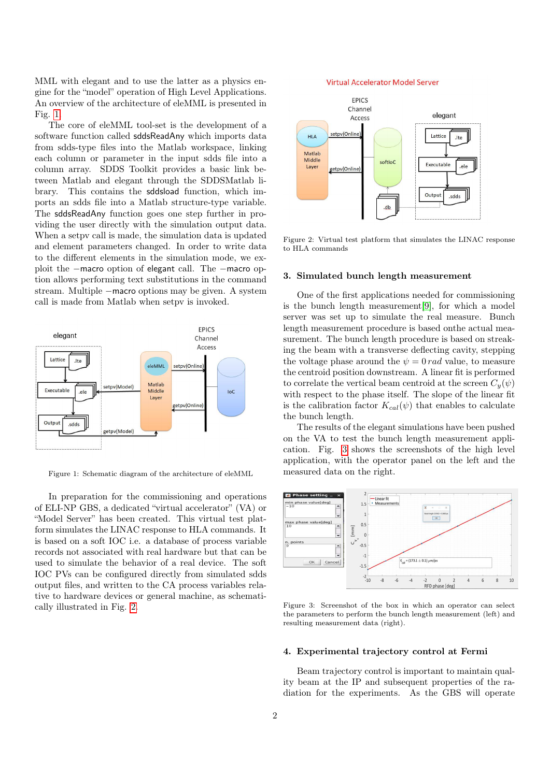MML with elegant and to use the latter as a physics engine for the "model" operation of High Level Applications. An overview of the architecture of eleMML is presented in Fig. [1.](#page-1-0)

The core of eleMML tool-set is the development of a software function called sddsReadAny which imports data from sdds-type files into the Matlab workspace, linking each column or parameter in the input sdds file into a column array. SDDS Toolkit provides a basic link between Matlab and elegant through the SDDSMatlab library. This contains the sddsload function, which imports an sdds file into a Matlab structure-type variable. The sddsReadAny function goes one step further in providing the user directly with the simulation output data. When a setpv call is made, the simulation data is updated and element parameters changed. In order to write data to the different elements in the simulation mode, we exploit the −macro option of elegant call. The −macro option allows performing text substitutions in the command stream. Multiple −macro options may be given. A system call is made from Matlab when setpv is invoked.



<span id="page-1-0"></span>Figure 1: Schematic diagram of the architecture of eleMML

In preparation for the commissioning and operations of ELI-NP GBS, a dedicated "virtual accelerator" (VA) or "Model Server" has been created. This virtual test platform simulates the LINAC response to HLA commands. It is based on a soft IOC i.e. a database of process variable records not associated with real hardware but that can be used to simulate the behavior of a real device. The soft IOC PVs can be configured directly from simulated sdds output files, and written to the CA process variables relative to hardware devices or general machine, as schematically illustrated in Fig. [2.](#page-1-1)

#### **Virtual Accelerator Model Server**



<span id="page-1-1"></span>Figure 2: Virtual test platform that simulates the LINAC response to HLA commands

### 3. Simulated bunch length measurement

One of the first applications needed for commissioning is the bunch length measurement[\[9\]](#page-4-6), for which a model server was set up to simulate the real measure. Bunch length measurement procedure is based onthe actual measurement. The bunch length procedure is based on streaking the beam with a transverse deflecting cavity, stepping the voltage phase around the  $\psi = 0 rad$  value, to measure the centroid position downstream. A linear fit is performed to correlate the vertical beam centroid at the screen  $C_u(\psi)$ with respect to the phase itself. The slope of the linear fit is the calibration factor  $K_{cal}(\psi)$  that enables to calculate the bunch length.

The results of the elegant simulations have been pushed on the VA to test the bunch length measurement application. Fig. [3](#page-1-2) shows the screenshots of the high level application, with the operator panel on the left and the measured data on the right.



<span id="page-1-2"></span>Figure 3: Screenshot of the box in which an operator can select the parameters to perform the bunch length measurement (left) and resulting measurement data (right).

#### 4. Experimental trajectory control at Fermi

Beam trajectory control is important to maintain quality beam at the IP and subsequent properties of the radiation for the experiments. As the GBS will operate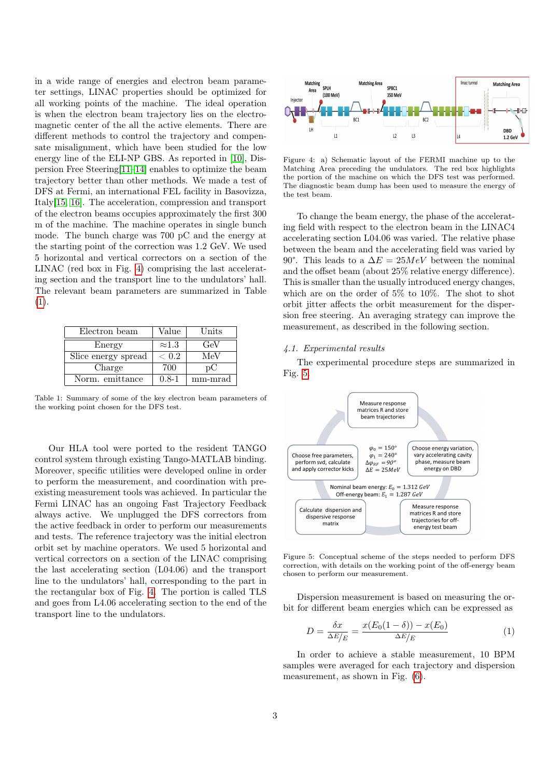in a wide range of energies and electron beam parameter settings, LINAC properties should be optimized for all working points of the machine. The ideal operation is when the electron beam trajectory lies on the electromagnetic center of the all the active elements. There are different methods to control the trajectory and compensate misalignment, which have been studied for the low energy line of the ELI-NP GBS. As reported in [\[10\]](#page-4-7), Dispersion Free Steering[\[11](#page-4-8)[–14\]](#page-4-9) enables to optimize the beam trajectory better than other methods. We made a test of DFS at Fermi, an international FEL facility in Basovizza, Italy[\[15,](#page-4-10) [16\]](#page-4-11). The acceleration, compression and transport of the electron beams occupies approximately the first 300 m of the machine. The machine operates in single bunch mode. The bunch charge was 700 pC and the energy at the starting point of the correction was 1.2 GeV. We used 5 horizontal and vertical correctors on a section of the LINAC (red box in Fig. [4\)](#page-2-0) comprising the last accelerating section and the transport line to the undulators' hall. The relevant beam parameters are summarized in Table [\(1\)](#page-2-1).

| Electron beam       | Value         | $_{\rm Units}$ |
|---------------------|---------------|----------------|
| Energy              | $\approx 1.3$ | GeV            |
| Slice energy spread | $\leq 0.2$    | MeV            |
| Charge              | 700           | рC             |
| Norm. emittance     | $0.8-1$       | mm-mrad        |

<span id="page-2-1"></span>Table 1: Summary of some of the key electron beam parameters of the working point chosen for the DFS test.

Our HLA tool were ported to the resident TANGO control system through existing Tango-MATLAB binding. Moreover, specific utilities were developed online in order to perform the measurement, and coordination with preexisting measurement tools was achieved. In particular the Fermi LINAC has an ongoing Fast Trajectory Feedback always active. We unplugged the DFS correctors from the active feedback in order to perform our measurements and tests. The reference trajectory was the initial electron orbit set by machine operators. We used 5 horizontal and vertical correctors on a section of the LINAC comprising the last accelerating section (L04.06) and the transport line to the undulators' hall, corresponding to the part in the rectangular box of Fig. [4.](#page-2-0) The portion is called TLS and goes from L4.06 accelerating section to the end of the transport line to the undulators.



<span id="page-2-0"></span>Figure 4: a) Schematic layout of the FERMI machine up to the Matching Area preceding the undulators. The red box highlights the portion of the machine on which the DFS test was performed. The diagnostic beam dump has been used to measure the energy of the test beam.

To change the beam energy, the phase of the accelerating field with respect to the electron beam in the LINAC4 accelerating section L04.06 was varied. The relative phase between the beam and the accelerating field was varied by 90°. This leads to a  $\Delta E = 25 MeV$  between the nominal and the offset beam (about 25% relative energy difference). This is smaller than the usually introduced energy changes, which are on the order of 5% to 10%. The shot to shot orbit jitter affects the orbit measurement for the dispersion free steering. An averaging strategy can improve the measurement, as described in the following section.

# 4.1. Experimental results

The experimental procedure steps are summarized in Fig. [5.](#page-2-2)



<span id="page-2-2"></span>Figure 5: Conceptual scheme of the steps needed to perform DFS correction, with details on the working point of the off-energy beam chosen to perform our measurement.

Dispersion measurement is based on measuring the orbit for different beam energies which can be expressed as

$$
D = \frac{\delta x}{\Delta E/E} = \frac{x(E_0(1-\delta)) - x(E_0)}{\Delta E/E} \tag{1}
$$

In order to achieve a stable measurement, 10 BPM samples were averaged for each trajectory and dispersion measurement, as shown in Fig. [\(6\)](#page-3-0).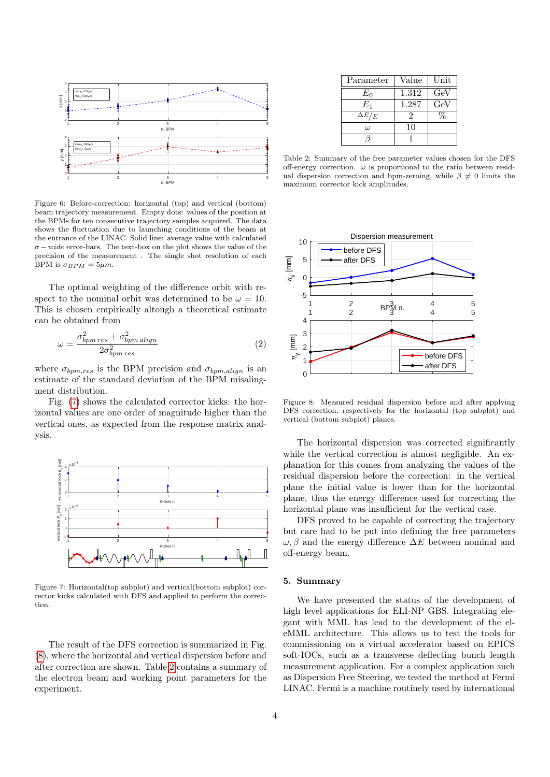

<span id="page-3-0"></span>Figure 6: Before-correction: horizontal (top) and vertical (bottom) beam trajectory measurement. Empty dots: values of the position at the BPMs for ten consecutive trajectory samples acquired. The data shows the fluctuation due to launching conditions of the beam at the entrance of the LINAC. Solid line: average value with calculated  $\sigma-wide$  error-bars. The text-box on the plot shows the value of the precision of the measurement . The single shot resolution of each BPM is  $\sigma_{BPM} = 5 \mu m$ .

The optimal weighting of the difference orbit with respect to the nominal orbit was determined to be  $\omega = 10$ . This is chosen empirically altough a theoretical estimate can be obtained from

$$
\omega = \frac{\sigma_{bpm\ res}^2 + \sigma_{bpm\ align}^2}{2\sigma_{bpm\ res}^2} \tag{2}
$$

where  $\sigma_{bpm,res}$  is the BPM precision and  $\sigma_{bpm,align}$  is an estimate of the standard deviation of the BPM misalingment distribution.

Fig. [\(7\)](#page-3-1) shows the calculated corrector kicks: the horizontal values are one order of magnitude higher than the vertical ones, as expected from the response matrix analysis.



<span id="page-3-1"></span>Figure 7: Horizontal(top subplot) and vertical(bottom subplot) corrector kicks calculated with DFS and applied to perform the correction.

The result of the DFS correction is summarized in Fig. [\(8\)](#page-3-2), where the horizontal and vertical dispersion before and after correction are shown. Table [2](#page-3-3) contains a summary of the electron beam and working point parameters for the experiment.

| Parameter    | Value | Unit |
|--------------|-------|------|
| $E_0$        | 1.312 | GeV  |
| $E_1$        | 1.287 | GeV  |
| $\Delta E/E$ | 2     |      |
| ω            | 10    |      |
|              |       |      |

<span id="page-3-3"></span>Table 2: Summary of the free parameter values chosen for the DFS off-energy correction.  $\omega$  is proportional to the ratio between residual dispersion correction and bpm-zeroing, while  $\beta \neq 0$  limits the maximum corrector kick amplitudes.



<span id="page-3-2"></span>Figure 8: Measured residual dispersion before and after applying DFS correction, respectively for the horizontal (top subplot) and vertical (bottom subplot) planes.

The horizontal dispersion was corrected significantly while the vertical correction is almost negligible. An explanation for this comes from analyzing the values of the residual dispersion before the correction: in the vertical plane the initial value is lower than for the horizontal plane, thus the energy difference used for correcting the horizontal plane was insufficient for the vertical case.

DFS proved to be capable of correcting the trajectory but care had to be put into defining the free parameters  $\omega, \beta$  and the energy difference  $\Delta E$  between nominal and off-energy beam.

## 5. Summary

We have presented the status of the development of high level applications for ELI-NP GBS. Integrating elegant with MML has lead to the development of the eleMML architecture. This allows us to test the tools for commissioning on a virtual accelerator based on EPICS soft-IOCs, such as a transverse deflecting bunch length measurement application. For a complex application such as Dispersion Free Steering, we tested the method at Fermi LINAC. Fermi is a machine routinely used by international